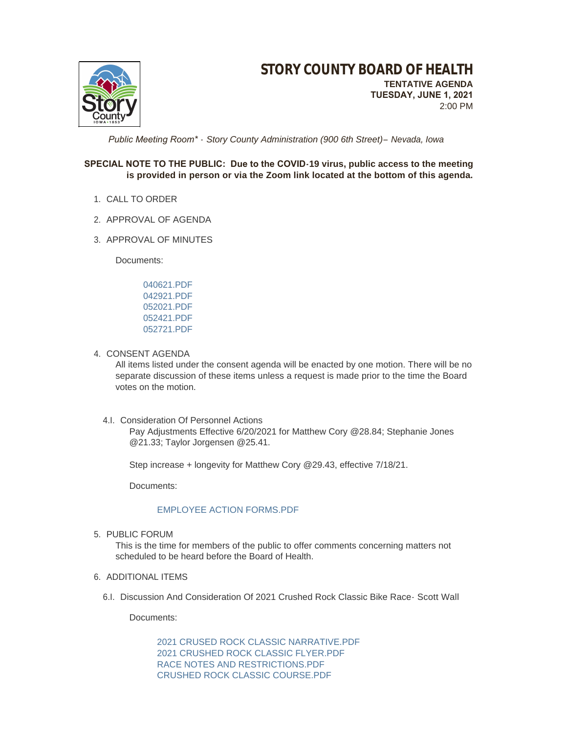

 *Public Meeting Room\* - Story County Administration (900 6th Street)– Nevada, Iowa*

### **SPECIAL NOTE TO THE PUBLIC: Due to the COVID-19 virus, public access to the meeting is provided in person or via the Zoom link located at the bottom of this agenda.**

- 1. CALL TO ORDER
- 2. APPROVAL OF AGENDA
- 3. APPROVAL OF MINUTES

Documents:

[040621.PDF](http://www.storycountyiowa.gov/AgendaCenter/ViewFile/Item/21307?fileID=16179) [042921.PDF](http://www.storycountyiowa.gov/AgendaCenter/ViewFile/Item/21307?fileID=16180) [052021.PDF](http://www.storycountyiowa.gov/AgendaCenter/ViewFile/Item/21307?fileID=16181) [052421.PDF](http://www.storycountyiowa.gov/AgendaCenter/ViewFile/Item/21307?fileID=16182) [052721.PDF](http://www.storycountyiowa.gov/AgendaCenter/ViewFile/Item/21307?fileID=16183)

4. CONSENT AGENDA

All items listed under the consent agenda will be enacted by one motion. There will be no separate discussion of these items unless a request is made prior to the time the Board votes on the motion.

4.I. Consideration Of Personnel Actions

Pay Adjustments Effective 6/20/2021 for Matthew Cory @28.84; Stephanie Jones @21.33; Taylor Jorgensen @25.41.

Step increase + longevity for Matthew Cory @29.43, effective 7/18/21.

Documents:

### [EMPLOYEE ACTION FORMS.PDF](http://www.storycountyiowa.gov/AgendaCenter/ViewFile/Item/21077?fileID=16149)

5. PUBLIC FORUM

This is the time for members of the public to offer comments concerning matters not scheduled to be heard before the Board of Health.

- 6. ADDITIONAL ITEMS
	- 6.I. Discussion And Consideration Of 2021 Crushed Rock Classic Bike Race- Scott Wall

Documents:

[2021 CRUSED ROCK CLASSIC NARRATIVE.PDF](http://www.storycountyiowa.gov/AgendaCenter/ViewFile/Item/21161?fileID=16125) [2021 CRUSHED ROCK CLASSIC FLYER.PDF](http://www.storycountyiowa.gov/AgendaCenter/ViewFile/Item/21161?fileID=16126) [RACE NOTES AND RESTRICTIONS.PDF](http://www.storycountyiowa.gov/AgendaCenter/ViewFile/Item/21161?fileID=16128) [CRUSHED ROCK CLASSIC COURSE.PDF](http://www.storycountyiowa.gov/AgendaCenter/ViewFile/Item/21161?fileID=16140)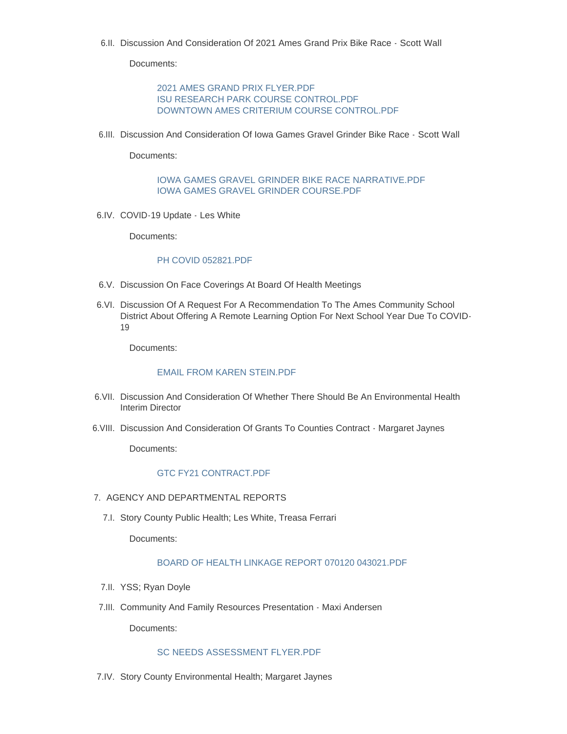6.II. Discussion And Consideration Of 2021 Ames Grand Prix Bike Race - Scott Wall

Documents:

[2021 AMES GRAND PRIX FLYER.PDF](http://www.storycountyiowa.gov/AgendaCenter/ViewFile/Item/21162?fileID=16130) [ISU RESEARCH PARK COURSE CONTROL.PDF](http://www.storycountyiowa.gov/AgendaCenter/ViewFile/Item/21162?fileID=16131) [DOWNTOWN AMES CRITERIUM COURSE CONTROL.PDF](http://www.storycountyiowa.gov/AgendaCenter/ViewFile/Item/21162?fileID=16139)

6.III. Discussion And Consideration Of Iowa Games Gravel Grinder Bike Race - Scott Wall

Documents:

[IOWA GAMES GRAVEL GRINDER BIKE RACE NARRATIVE.PDF](http://www.storycountyiowa.gov/AgendaCenter/ViewFile/Item/21160?fileID=16123) [IOWA GAMES GRAVEL GRINDER COURSE.PDF](http://www.storycountyiowa.gov/AgendaCenter/ViewFile/Item/21160?fileID=16124)

6.IV. COVID-19 Update - Les White

Documents:

#### [PH COVID 052821.PDF](http://www.storycountyiowa.gov/AgendaCenter/ViewFile/Item/21274?fileID=16171)

- 6.V. Discussion On Face Coverings At Board Of Health Meetings
- 6.VI. Discussion Of A Request For A Recommendation To The Ames Community School District About Offering A Remote Learning Option For Next School Year Due To COVID-19

Documents:

### [EMAIL FROM KAREN STEIN.PDF](http://www.storycountyiowa.gov/AgendaCenter/ViewFile/Item/21292?fileID=16163)

- 6.VII. Discussion And Consideration Of Whether There Should Be An Environmental Health Interim Director
- 6.VIII. Discussion And Consideration Of Grants To Counties Contract Margaret Jaynes

Documents:

### GTC FY21 CONTRACT PDF

- 7. AGENCY AND DEPARTMENTAL REPORTS
	- 7.I. Story County Public Health; Les White, Treasa Ferrari

Documents:

### [BOARD OF HEALTH LINKAGE REPORT 070120 043021.PDF](http://www.storycountyiowa.gov/AgendaCenter/ViewFile/Item/21267?fileID=16148)

- 7.II. YSS; Ryan Doyle
- 7.III. Community And Family Resources Presentation Maxi Andersen

Documents:

## [SC NEEDS ASSESSMENT FLYER.PDF](http://www.storycountyiowa.gov/AgendaCenter/ViewFile/Item/21243?fileID=16138)

7.IV. Story County Environmental Health; Margaret Jaynes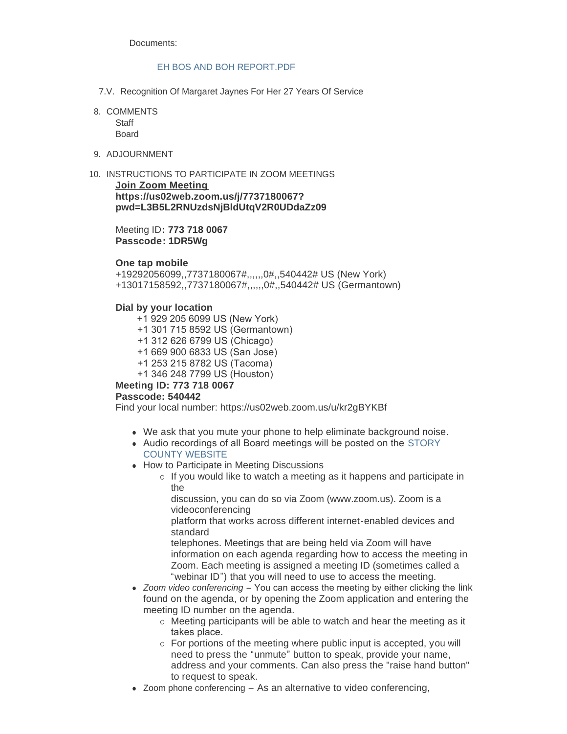Documents:

### FH BOS AND BOH REPORT PDF

- 7.V. Recognition Of Margaret Jaynes For Her 27 Years Of Service
- 8. COMMENTS

**Staff** Board

9. ADJOURNMENT

10. INSTRUCTIONS TO PARTICIPATE IN ZOOM MEETINGS **Join Zoom Meeting https://us02web.zoom.us/j/7737180067? pwd=L3B5L2RNUzdsNjBldUtqV2R0UDdaZz09**

> Meeting ID**: 773 718 0067 Passcode: 1DR5Wg**

### **One tap mobile**

+19292056099,,7737180067#,,,,,,0#,,540442# US (New York) +13017158592,,7737180067#,,,,,,0#,,540442# US (Germantown)

### **Dial by your location**

 +1 929 205 6099 US (New York) +1 301 715 8592 US (Germantown) +1 312 626 6799 US (Chicago) +1 669 900 6833 US (San Jose) +1 253 215 8782 US (Tacoma) +1 346 248 7799 US (Houston) **Meeting ID: 773 718 0067**

# **Passcode: 540442**

Find your local number: https://us02web.zoom.us/u/kr2gBYKBf

- We ask that you mute your phone to help eliminate background noise.
- Audio recordings of all Board meetings will be posted on the STORY COUNTY WEBSITE
- How to Participate in Meeting Discussions
	- $\circ$  If you would like to watch a meeting as it happens and participate in the

discussion, you can do so via Zoom (www.zoom.us). Zoom is a videoconferencing

platform that works across different internet-enabled devices and standard

telephones. Meetings that are being held via Zoom will have information on each agenda regarding how to access the meeting in Zoom. Each meeting is assigned a meeting ID (sometimes called a "webinar ID") that you will need to use to access the meeting.

- *Zoom video conferencing* You can access the meeting by either clicking the link found on the agenda, or by opening the Zoom application and entering the meeting ID number on the agenda.
	- $\circ$  Meeting participants will be able to watch and hear the meeting as it takes place.
	- o For portions of the meeting where public input is accepted, you will need to press the "unmute" button to speak, provide your name, address and your comments. Can also press the "raise hand button" to request to speak.
- $\bullet$  Zoom phone conferencing As an alternative to video conferencing,